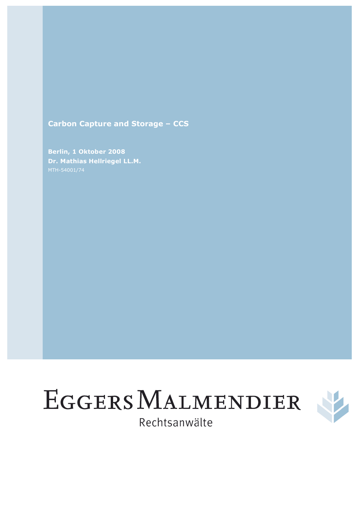# **Carbon Capture and Storage – CCS**

**Berlin, 1 Oktober 2008 Dr. Mathias Hellriegel LL.M.** 





Rechtsanwälte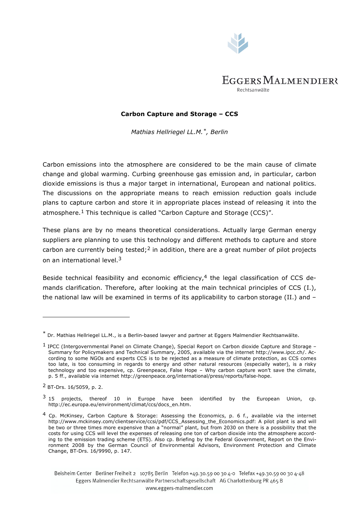

#### **Carbon Capture and Storage – CCS**

*Mathias Hellriegel LL.M.\*, Berlin*

Carbon emissions into the atmosphere are considered to be the main cause of climate change and global warming. Curbing greenhouse gas emission and, in particular, carbon dioxide emissions is thus a major target in international, European and national politics. The discussions on the appropriate means to reach emission reduction goals include plans to capture carbon and store it in appropriate places instead of releasing it into the atmosphere.<sup>1</sup> This technique is called "Carbon Capture and Storage (CCS)".

These plans are by no means theoretical considerations. Actually large German energy suppliers are planning to use this technology and different methods to capture and store carbon are currently being tested;<sup>2</sup> in addition, there are a great number of pilot projects on an international level.<sup>3</sup>

Beside technical feasibility and economic efficiency,  $4$  the legal classification of CCS demands clarification. Therefore, after looking at the main technical principles of CCS (I.), the national law will be examined in terms of its applicability to carbon storage (II.) and –

j.

Beisheim Center Berliner Freiheit 2 10785 Berlin Telefon +49.30.59 00 30 4-0 Telefax +49.30.59 00 30 4-48 Eggers Malmendier Rechtsanwälte Partnerschaftsgesellschaft AG Charlottenburg PR 465 B www.eggers-malmendier.com

 $*$  Dr. Mathias Hellriegel LL.M., is a Berlin-based lawyer and partner at Eggers Malmendier Rechtsanwälte.

<sup>1</sup> IPCC (Intergovernmental Panel on Climate Change), Special Report on Carbon dioxide Capture and Storage – Summary for Policymakers and Technical Summary, 2005, available via the internet http://www.ipcc.ch/. According to some NGOs and experts CCS is to be rejected as a measure of climate protection, as CCS comes too late, is too consuming in regards to energy and other natural resources (especially water), is a risky technology and too expensive, cp. Greenpeace, False Hope – Why carbon capture won't save the climate, p. 5 ff., available via internet http://greenpeace.org/international/press/reports/false-hope.

<sup>2</sup> BT-Drs. 16/5059, p. 2.

 $3$  15 projects, thereof 10 in Europe have been identified by the European Union, cp. http://ec.europa.eu/environment/climat/ccs/docs\_en.htm.

<sup>4</sup> Cp. McKinsey, Carbon Capture & Storage: Assessing the Economics, p. 6 f., available via the internet http://www.mckinsey.com/clientservice/ccsi/pdf/CCS\_Assessing\_the\_Economics.pdf: A pilot plant is and will be two or three times more expensive than a "normal" plant, but from 2030 on there is a possibility that the costs for using CCS will level the expenses of releasing one ton of carbon dioxide into the atmosphere according to the emission trading scheme (ETS). Also cp. Briefing by the Federal Government, Report on the Environment 2008 by the German Council of Environmental Advisors, Environment Protection and Climate Change, BT-Drs. 16/9990, p. 147.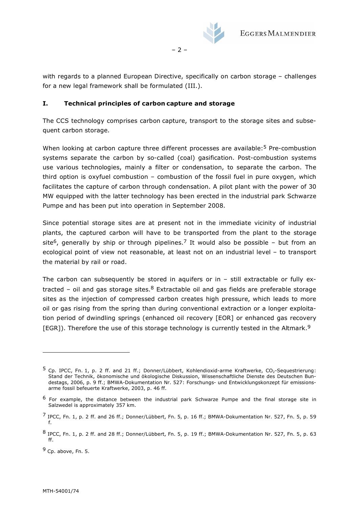

with regards to a planned European Directive, specifically on carbon storage – challenges for a new legal framework shall be formulated (III.).

– 2 –

#### **I. Technical principles of carbon capture and storage**

The CCS technology comprises carbon capture, transport to the storage sites and subsequent carbon storage.

When looking at carbon capture three different processes are available:<sup>5</sup> Pre-combustion systems separate the carbon by so-called (coal) gasification. Post-combustion systems use various technologies, mainly a filter or condensation, to separate the carbon. The third option is oxyfuel combustion – combustion of the fossil fuel in pure oxygen, which facilitates the capture of carbon through condensation. A pilot plant with the power of 30 MW equipped with the latter technology has been erected in the industrial park Schwarze Pumpe and has been put into operation in September 2008.

Since potential storage sites are at present not in the immediate vicinity of industrial plants, the captured carbon will have to be transported from the plant to the storage site<sup>6</sup>, generally by ship or through pipelines.<sup>7</sup> It would also be possible – but from an ecological point of view not reasonable, at least not on an industrial level – to transport the material by rail or road.

The carbon can subsequently be stored in aquifers or in  $-$  still extractable or fully extracted – oil and gas storage sites.<sup>8</sup> Extractable oil and gas fields are preferable storage sites as the injection of compressed carbon creates high pressure, which leads to more oil or gas rising from the spring than during conventional extraction or a longer exploitation period of dwindling springs (enhanced oil recovery [EOR] or enhanced gas recovery [EGR]). Therefore the use of this storage technology is currently tested in the Altmark.<sup>9</sup>

 $^5$  Cp. IPCC, Fn. 1, p. 2 ff. and 21 ff.; Donner/Lübbert, Kohlendioxid-arme Kraftwerke, CO<sub>2</sub>-Sequestrierung: Stand der Technik, ökonomische und ökologische Diskussion, Wissenschaftliche Dienste des Deutschen Bundestags, 2006, p. 9 ff.; BMWA-Dokumentation Nr. 527: Forschungs- und Entwicklungskonzept für emissionsarme fossil befeuerte Kraftwerke, 2003, p. 46 ff.

<sup>6</sup> For example, the distance between the industrial park Schwarze Pumpe and the final storage site in Salzwedel is approximately 357 km.

 $^7$  IPCC, Fn. 1, p. 2 ff. and 26 ff.; Donner/Lübbert, Fn. 5, p. 16 ff.; BMWA-Dokumentation Nr. 527, Fn. 5, p. 59 f.

<sup>8</sup> IPCC, Fn. 1, p. 2 ff. and 28 ff.; Donner/Lübbert, Fn. 5, p. 19 ff.; BMWA-Dokumentation Nr. 527, Fn. 5, p. 63 ff.

<sup>9</sup> Cp. above, Fn. 5.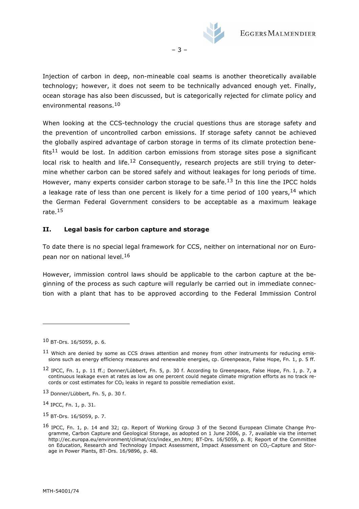

– 3 –

Injection of carbon in deep, non-mineable coal seams is another theoretically available technology; however, it does not seem to be technically advanced enough yet. Finally, ocean storage has also been discussed, but is categorically rejected for climate policy and environmental reasons.<sup>10</sup>

When looking at the CCS-technology the crucial questions thus are storage safety and the prevention of uncontrolled carbon emissions. If storage safety cannot be achieved the globally aspired advantage of carbon storage in terms of its climate protection bene $fits<sup>11</sup>$  would be lost. In addition carbon emissions from storage sites pose a significant local risk to health and life.<sup>12</sup> Consequently, research projects are still trying to determine whether carbon can be stored safely and without leakages for long periods of time. However, many experts consider carbon storage to be safe.<sup>13</sup> In this line the IPCC holds a leakage rate of less than one percent is likely for a time period of 100 years,  $14$  which the German Federal Government considers to be acceptable as a maximum leakage rate.<sup>15</sup>

### **II. Legal basis for carbon capture and storage**

To date there is no special legal framework for CCS, neither on international nor on European nor on national level.<sup>16</sup>

However, immission control laws should be applicable to the carbon capture at the beginning of the process as such capture will regularly be carried out in immediate connection with a plant that has to be approved according to the Federal Immission Control

j.

<sup>10</sup> BT-Drs. 16/5059, p. 6.

 $11$  Which are denied by some as CCS draws attention and money from other instruments for reducing emissions such as energy efficiency measures and renewable energies, cp. Greenpeace, False Hope, Fn. 1, p. 5 ff.

<sup>12</sup> IPCC, Fn. 1, p. 11 ff.; Donner/Lübbert, Fn. 5, p. 30 f. According to Greenpeace, False Hope, Fn. 1, p. 7, a continuous leakage even at rates as low as one percent could negate climate migration efforts as no track records or cost estimates for  $CO<sub>2</sub>$  leaks in regard to possible remediation exist.

<sup>13</sup> Donner/Lübbert, Fn. 5, p. 30 f.

<sup>14</sup> IPCC, Fn. 1, p. 31.

<sup>15</sup> BT-Drs. 16/5059, p. 7.

<sup>16</sup> IPCC, Fn. 1, p. 14 and 32; cp. Report of Working Group 3 of the Second European Climate Change Programme, Carbon Capture and Geological Storage, as adopted on 1 June 2006, p. 7, available via the internet http://ec.europa.eu/environment/climat/ccs/index\_en.htm; BT-Drs. 16/5059, p. 8; Report of the Committee on Education, Research and Technology Impact Assessment, Impact Assessment on CO2-Capture and Storage in Power Plants, BT-Drs. 16/9896, p. 48.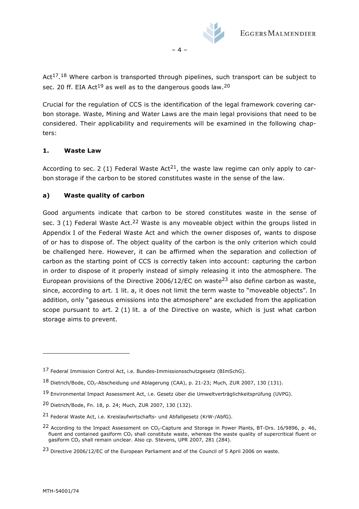

 $-4-$ 

Act<sup>17.18</sup> Where carbon is transported through pipelines, such transport can be subject to sec. 20 ff. EIA Act<sup>19</sup> as well as to the dangerous goods law.<sup>20</sup>

Crucial for the regulation of CCS is the identification of the legal framework covering carbon storage. Waste, Mining and Water Laws are the main legal provisions that need to be considered. Their applicability and requirements will be examined in the following chapters:

# **1. Waste Law**

According to sec. 2 (1) Federal Waste Act<sup>21</sup>, the waste law regime can only apply to carbon storage if the carbon to be stored constitutes waste in the sense of the law.

### **a) Waste quality of carbon**

Good arguments indicate that carbon to be stored constitutes waste in the sense of sec.  $3(1)$  Federal Waste Act.<sup>22</sup> Waste is any moveable object within the groups listed in Appendix I of the Federal Waste Act and which the owner disposes of, wants to dispose of or has to dispose of. The object quality of the carbon is the only criterion which could be challenged here. However, it can be affirmed when the separation and collection of carbon as the starting point of CCS is correctly taken into account: capturing the carbon in order to dispose of it properly instead of simply releasing it into the atmosphere. The European provisions of the Directive 2006/12/EC on waste<sup>23</sup> also define carbon as waste, since, according to art. 1 lit. a, it does not limit the term waste to "moveable objects". In addition, only "gaseous emissions into the atmosphere" are excluded from the application scope pursuant to art. 2 (1) lit. a of the Directive on waste, which is just what carbon storage aims to prevent.

<sup>17</sup> Federal Immission Control Act, i.e. Bundes-Immissionsschutzgesetz (BImSchG).

<sup>18</sup> Dietrich/Bode, CO<sub>2</sub>-Abscheidung und Ablagerung (CAA), p. 21-23; Much, ZUR 2007, 130 (131).

<sup>19</sup> Environmental Impact Assessment Act, i.e. Gesetz über die Umweltverträglichkeitsprüfung (UVPG).

<sup>20</sup> Dietrich/Bode, Fn. 18, p. 24; Much, ZUR 2007, 130 (132).

<sup>21</sup> Federal Waste Act, i.e. Kreislaufwirtschafts- und Abfallgesetz (KrW-/AbfG).

<sup>&</sup>lt;sup>22</sup> According to the Impact Assessment on CO<sub>2</sub>-Capture and Storage in Power Plants, BT-Drs. 16/9896, p. 46, fluent and contained gasiform CO2 shall constitute waste, whereas the waste quality of supercritical fluent or gasiform CO<sub>2</sub> shall remain unclear. Also cp. Stevens, UPR 2007, 281 (284).

<sup>23</sup> Directive 2006/12/EC of the European Parliament and of the Council of 5 April 2006 on waste.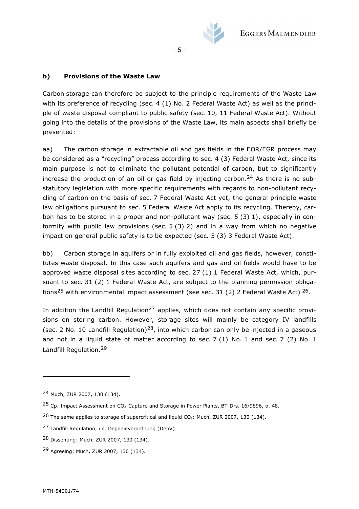

### **b) Provisions of the Waste Law**

Carbon storage can therefore be subject to the principle requirements of the Waste Law with its preference of recycling (sec. 4 (1) No. 2 Federal Waste Act) as well as the principle of waste disposal compliant to public safety (sec. 10, 11 Federal Waste Act). Without going into the details of the provisions of the Waste Law, its main aspects shall briefly be presented:

– 5 –

aa) The carbon storage in extractable oil and gas fields in the EOR/EGR process may be considered as a "recycling" process according to sec. 4 (3) Federal Waste Act, since its main purpose is not to eliminate the pollutant potential of carbon, but to significantly increase the production of an oil or gas field by injecting carbon.<sup>24</sup> As there is no substatutory legislation with more specific requirements with regards to non-pollutant recycling of carbon on the basis of sec. 7 Federal Waste Act yet, the general principle waste law obligations pursuant to sec. 5 Federal Waste Act apply to its recycling. Thereby, carbon has to be stored in a proper and non-pollutant way (sec. 5 (3) 1), especially in conformity with public law provisions (sec. 5 (3) 2) and in a way from which no negative impact on general public safety is to be expected (sec. 5 (3) 3 Federal Waste Act).

bb) Carbon storage in aquifers or in fully exploited oil and gas fields, however, constitutes waste disposal. In this case such aquifers and gas and oil fields would have to be approved waste disposal sites according to sec. 27  $(1)$  1 Federal Waste Act, which, pursuant to sec. 31 (2) 1 Federal Waste Act, are subject to the planning permission obligations<sup>25</sup> with environmental impact assessment (see sec. 31 (2) 2 Federal Waste Act)  $26$ .

In addition the Landfill Regulation<sup>27</sup> applies, which does not contain any specific provisions on storing carbon. However, storage sites will mainly be category IV landfills (sec. 2 No. 10 Landfill Regulation)<sup>28</sup>, into which carbon can only be injected in a gaseous and not in a liquid state of matter according to sec. 7 (1) No. 1 and sec. 7 (2) No. 1 Landfill Regulation.<sup>29</sup>

<sup>24</sup> Much, ZUR 2007, 130 (134).

 $25$  Cp. Impact Assessment on CO<sub>2</sub>-Capture and Storage in Power Plants, BT-Drs. 16/9896, p. 48.

 $26$  The same applies to storage of supercritical and liquid CO<sub>2</sub>: Much, ZUR 2007, 130 (134).

<sup>27</sup> Landfill Regulation, i.e. Deponieverordnung (DepV).

<sup>28</sup> Dissenting: Much, ZUR 2007, 130 (134).

<sup>29</sup> Agreeing: Much, ZUR 2007, 130 (134).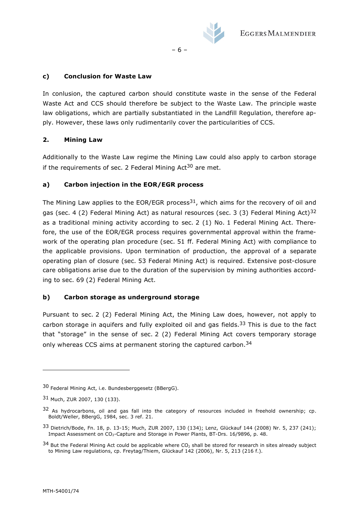

– 6 –

### **c) Conclusion for Waste Law**

In conlusion, the captured carbon should constitute waste in the sense of the Federal Waste Act and CCS should therefore be subject to the Waste Law. The principle waste law obligations, which are partially substantiated in the Landfill Regulation, therefore apply. However, these laws only rudimentarily cover the particularities of CCS.

### **2. Mining Law**

Additionally to the Waste Law regime the Mining Law could also apply to carbon storage if the requirements of sec. 2 Federal Mining  $Act^{30}$  are met.

# **a) Carbon injection in the EOR/EGR process**

The Mining Law applies to the EOR/EGR process<sup>31</sup>, which aims for the recovery of oil and gas (sec. 4 (2) Federal Mining Act) as natural resources (sec. 3 (3) Federal Mining Act)<sup>32</sup> as a traditional mining activity according to sec. 2 (1) No. 1 Federal Mining Act. Therefore, the use of the EOR/EGR process requires governmental approval within the framework of the operating plan procedure (sec. 51 ff. Federal Mining Act) with compliance to the applicable provisions. Upon termination of production, the approval of a separate operating plan of closure (sec. 53 Federal Mining Act) is required. Extensive post-closure care obligations arise due to the duration of the supervision by mining authorities according to sec. 69 (2) Federal Mining Act.

#### **b) Carbon storage as underground storage**

Pursuant to sec. 2 (2) Federal Mining Act, the Mining Law does, however, not apply to carbon storage in aquifers and fully exploited oil and gas fields.<sup>33</sup> This is due to the fact that "storage" in the sense of sec. 2 (2) Federal Mining Act covers temporary storage only whereas CCS aims at permanent storing the captured carbon.<sup>34</sup>

<sup>30</sup> Federal Mining Act, i.e. Bundesberggesetz (BBergG).

<sup>31</sup> Much, ZUR 2007, 130 (133).

 $32$  As hydrocarbons, oil and gas fall into the category of resources included in freehold ownership; cp. Boldt/Weller, BBergG, 1984, sec. 3 ref. 21.

<sup>33</sup> Dietrich/Bode, Fn. 18, p. 13-15; Much, ZUR 2007, 130 (134); Lenz, Glückauf 144 (2008) Nr. 5, 237 (241); Impact Assessment on CO2-Capture and Storage in Power Plants, BT-Drs. 16/9896, p. 48.

 $34$  But the Federal Mining Act could be applicable where CO<sub>2</sub> shall be stored for research in sites already subject to Mining Law regulations, cp. Freytag/Thiem, Glückauf 142 (2006), Nr. 5, 213 (216 f.).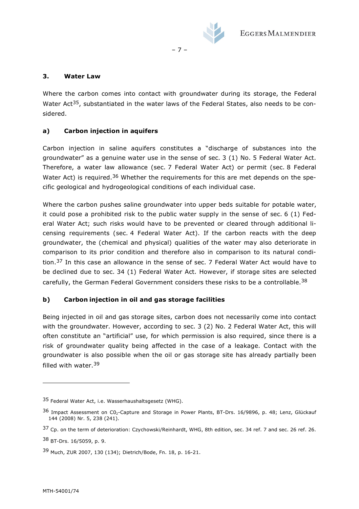

### **3. Water Law**

Where the carbon comes into contact with groundwater during its storage, the Federal Water Act<sup>35</sup>, substantiated in the water laws of the Federal States, also needs to be considered.

– 7 –

# **a) Carbon injection in aquifers**

Carbon injection in saline aquifers constitutes a "discharge of substances into the groundwater" as a genuine water use in the sense of sec. 3 (1) No. 5 Federal Water Act. Therefore, a water law allowance (sec. 7 Federal Water Act) or permit (sec. 8 Federal Water Act) is required.<sup>36</sup> Whether the requirements for this are met depends on the specific geological and hydrogeological conditions of each individual case.

Where the carbon pushes saline groundwater into upper beds suitable for potable water, it could pose a prohibited risk to the public water supply in the sense of sec. 6 (1) Federal Water Act; such risks would have to be prevented or cleared through additional licensing requirements (sec. 4 Federal Water Act). If the carbon reacts with the deep groundwater, the (chemical and physical) qualities of the water may also deteriorate in comparison to its prior condition and therefore also in comparison to its natural condition.37 In this case an allowance in the sense of sec. 7 Federal Water Act would have to be declined due to sec. 34 (1) Federal Water Act. However, if storage sites are selected carefully, the German Federal Government considers these risks to be a controllable.<sup>38</sup>

# **b) Carbon injection in oil and gas storage facilities**

Being injected in oil and gas storage sites, carbon does not necessarily come into contact with the groundwater. However, according to sec. 3 (2) No. 2 Federal Water Act, this will often constitute an "artificial" use, for which permission is also required, since there is a risk of groundwater quality being affected in the case of a leakage. Contact with the groundwater is also possible when the oil or gas storage site has already partially been filled with water.<sup>39</sup>

<sup>35</sup> Federal Water Act, i.e. Wasserhaushaltsgesetz (WHG).

<sup>36</sup> Impact Assessment on CO<sub>2</sub>-Capture and Storage in Power Plants, BT-Drs. 16/9896, p. 48; Lenz, Glückauf 144 (2008) Nr. 5, 238 (241).

<sup>37</sup> Cp. on the term of deterioration: Czychowski/Reinhardt, WHG, 8th edition, sec. 34 ref. 7 and sec. 26 ref. 26.

<sup>38</sup> BT-Drs. 16/5059, p. 9.

<sup>39</sup> Much, ZUR 2007, 130 (134); Dietrich/Bode, Fn. 18, p. 16-21.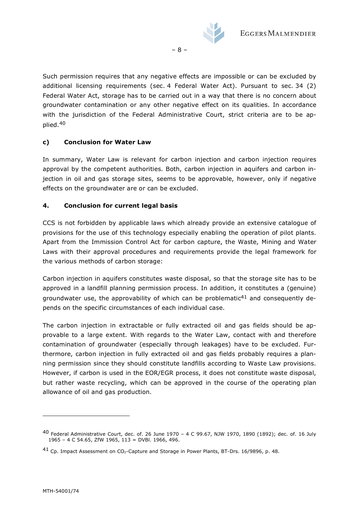

Such permission requires that any negative effects are impossible or can be excluded by additional licensing requirements (sec. 4 Federal Water Act). Pursuant to sec. 34 (2) Federal Water Act, storage has to be carried out in a way that there is no concern about groundwater contamination or any other negative effect on its qualities. In accordance with the jurisdiction of the Federal Administrative Court, strict criteria are to be applied.<sup>40</sup>

– 8 –

#### **c) Conclusion for Water Law**

In summary, Water Law is relevant for carbon injection and carbon injection requires approval by the competent authorities. Both, carbon injection in aquifers and carbon injection in oil and gas storage sites, seems to be approvable, however, only if negative effects on the groundwater are or can be excluded.

#### **4. Conclusion for current legal basis**

CCS is not forbidden by applicable laws which already provide an extensive catalogue of provisions for the use of this technology especially enabling the operation of pilot plants. Apart from the Immission Control Act for carbon capture, the Waste, Mining and Water Laws with their approval procedures and requirements provide the legal framework for the various methods of carbon storage:

Carbon injection in aquifers constitutes waste disposal, so that the storage site has to be approved in a landfill planning permission process. In addition, it constitutes a (genuine) groundwater use, the approvability of which can be problematic<sup>41</sup> and consequently depends on the specific circumstances of each individual case.

The carbon injection in extractable or fully extracted oil and gas fields should be approvable to a large extent. With regards to the Water Law, contact with and therefore contamination of groundwater (especially through leakages) have to be excluded. Furthermore, carbon injection in fully extracted oil and gas fields probably requires a planning permission since they should constitute landfills according to Waste Law provisions. However, if carbon is used in the EOR/EGR process, it does not constitute waste disposal, but rather waste recycling, which can be approved in the course of the operating plan allowance of oil and gas production.

<sup>40</sup> Federal Administrative Court, dec. of. 26 June 1970 – 4 C 99.67, NJW 1970, 1890 (1892); dec. of. 16 July 1965 – 4 C 54.65, ZfW 1965, 113 = DVBl. 1966, 496.

 $41$  Cp. Impact Assessment on CO<sub>2</sub>-Capture and Storage in Power Plants, BT-Drs. 16/9896, p. 48.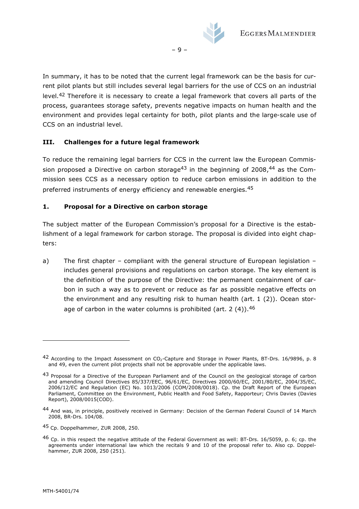

In summary, it has to be noted that the current legal framework can be the basis for current pilot plants but still includes several legal barriers for the use of CCS on an industrial level.42 Therefore it is necessary to create a legal framework that covers all parts of the process, guarantees storage safety, prevents negative impacts on human health and the environment and provides legal certainty for both, pilot plants and the large-scale use of CCS on an industrial level.

– 9 –

#### **III. Challenges for a future legal framework**

To reduce the remaining legal barriers for CCS in the current law the European Commission proposed a Directive on carbon storage<sup>43</sup> in the beginning of 2008,<sup>44</sup> as the Commission sees CCS as a necessary option to reduce carbon emissions in addition to the preferred instruments of energy efficiency and renewable energies.<sup>45</sup>

#### **1. Proposal for a Directive on carbon storage**

The subject matter of the European Commission's proposal for a Directive is the establishment of a legal framework for carbon storage. The proposal is divided into eight chapters:

a) The first chapter – compliant with the general structure of European legislation – includes general provisions and regulations on carbon storage. The key element is the definition of the purpose of the Directive: the permanent containment of carbon in such a way as to prevent or reduce as far as possible negative effects on the environment and any resulting risk to human health (art. 1 (2)). Ocean storage of carbon in the water columns is prohibited (art. 2  $(4)$ ).  $46$ 

 $42$  According to the Impact Assessment on CO<sub>2</sub>-Capture and Storage in Power Plants, BT-Drs. 16/9896, p. 8 and 49, even the current pilot projects shall not be approvable under the applicable laws.

<sup>43</sup> Proposal for a Directive of the European Parliament and of the Council on the geological storage of carbon and amending Council Directives 85/337/EEC, 96/61/EC, Directives 2000/60/EC, 2001/80/EC, 2004/35/EC, 2006/12/EC and Regulation (EC) No. 1013/2006 (COM/2008/0018). Cp. the Draft Report of the European Parliament, Committee on the Environment, Public Health and Food Safety, Rapporteur; Chris Davies (Davies Report), 2008/0015(COD).

<sup>44</sup> And was, in principle, positively received in Germany: Decision of the German Federal Council of 14 March 2008, BR-Drs. 104/08.

<sup>45</sup> Cp. Doppelhammer, ZUR 2008, 250.

<sup>46</sup> Cp. in this respect the negative attitude of the Federal Government as well: BT-Drs. 16/5059, p. 6; cp. the agreements under international law which the recitals 9 and 10 of the proposal refer to. Also cp. Doppelhammer, ZUR 2008, 250 (251).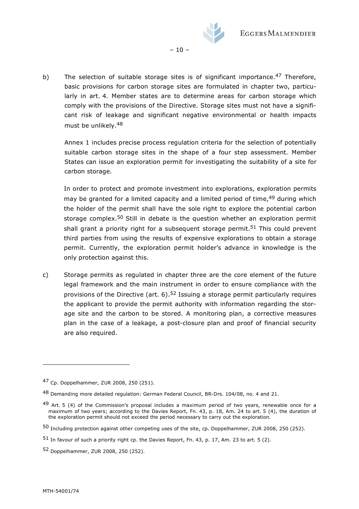

b) The selection of suitable storage sites is of significant importance.<sup>47</sup> Therefore, basic provisions for carbon storage sites are formulated in chapter two, particularly in art. 4. Member states are to determine areas for carbon storage which comply with the provisions of the Directive. Storage sites must not have a significant risk of leakage and significant negative environmental or health impacts must be unlikely.<sup>48</sup>

 $-10-$ 

Annex 1 includes precise process regulation criteria for the selection of potentially suitable carbon storage sites in the shape of a four step assessment. Member States can issue an exploration permit for investigating the suitability of a site for carbon storage.

In order to protect and promote investment into explorations, exploration permits may be granted for a limited capacity and a limited period of time, <sup>49</sup> during which the holder of the permit shall have the sole right to explore the potential carbon storage complex.<sup>50</sup> Still in debate is the question whether an exploration permit shall grant a priority right for a subsequent storage permit.<sup>51</sup> This could prevent third parties from using the results of expensive explorations to obtain a storage permit. Currently, the exploration permit holder's advance in knowledge is the only protection against this.

c) Storage permits as regulated in chapter three are the core element of the future legal framework and the main instrument in order to ensure compliance with the provisions of the Directive (art.  $6$ ).<sup>52</sup> Issuing a storage permit particularly requires the applicant to provide the permit authority with information regarding the storage site and the carbon to be stored. A monitoring plan, a corrective measures plan in the case of a leakage, a post-closure plan and proof of financial security are also required.

<sup>47</sup> Cp. Doppelhammer, ZUR 2008, 250 (251).

<sup>48</sup> Demanding more detailed regulation: German Federal Council, BR-Drs. 104/08, no. 4 and 21.

<sup>49</sup> Art. 5 (4) of the Commission's proposal includes a maximum period of two years, renewable once for a maximum of two years; according to the Davies Report, Fn. 43, p. 18, Am. 24 to art. 5 (4), the duration of the exploration permit should not exceed the period necessary to carry out the exploration.

<sup>50</sup> Including protection against other competing uses of the site, cp. Doppelhammer, ZUR 2008, 250 (252).

<sup>51</sup> In favour of such a priority right cp. the Davies Report, Fn. 43, p. 17, Am. 23 to art. 5 (2).

<sup>52</sup> Doppelhammer, ZUR 2008, 250 (252).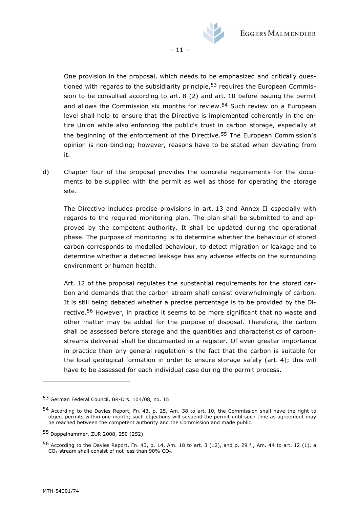

 $-11-$ 

One provision in the proposal, which needs to be emphasized and critically questioned with regards to the subsidiarity principle,  $53$  requires the European Commission to be consulted according to art. 8 (2) and art. 10 before issuing the permit and allows the Commission six months for review.<sup>54</sup> Such review on a European level shall help to ensure that the Directive is implemented coherently in the entire Union while also enforcing the public's trust in carbon storage, especially at the beginning of the enforcement of the Directive.<sup>55</sup> The European Commission's opinion is non-binding; however, reasons have to be stated when deviating from it.

d) Chapter four of the proposal provides the concrete requirements for the documents to be supplied with the permit as well as those for operating the storage site.

The Directive includes precise provisions in art. 13 and Annex II especially with regards to the required monitoring plan. The plan shall be submitted to and approved by the competent authority. It shall be updated during the operational phase. The purpose of monitoring is to determine whether the behaviour of stored carbon corresponds to modelled behaviour, to detect migration or leakage and to determine whether a detected leakage has any adverse effects on the surrounding environment or human health.

Art. 12 of the proposal regulates the substantial requirements for the stored carbon and demands that the carbon stream shall consist overwhelmingly of carbon. It is still being debated whether a precise percentage is to be provided by the Directive.<sup>56</sup> However, in practice it seems to be more significant that no waste and other matter may be added for the purpose of disposal. Therefore, the carbon shall be assessed before storage and the quantities and characteristics of carbonstreams delivered shall be documented in a register. Of even greater importance in practice than any general regulation is the fact that the carbon is suitable for the local geological formation in order to ensure storage safety (art. 4); this will have to be assessed for each individual case during the permit process.

<sup>53</sup> German Federal Council, BR-Drs. 104/08, no. 15.

<sup>54</sup> According to the Davies Report, Fn. 43, p. 25, Am. 38 to art. 10, the Commission shall have the right to object permits within one month; such objections will suspend the permit until such time as agreement may be reached between the competent authority and the Commission and made public.

<sup>55</sup> Doppelhammer, ZUR 2008, 250 (252).

<sup>56</sup> According to the Davies Report, Fn. 43, p. 14, Am. 18 to art. 3 (12), and p. 29 f., Am. 44 to art. 12 (1), a  $CO<sub>2</sub>$ -stream shall consist of not less than 90%  $CO<sub>2</sub>$ .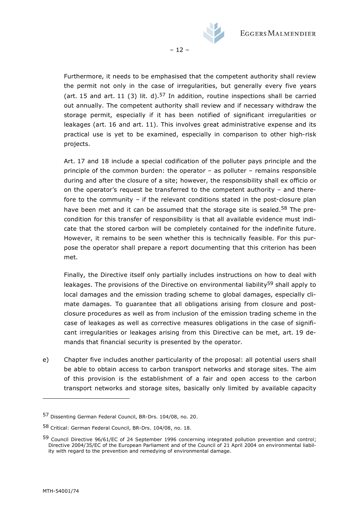

Furthermore, it needs to be emphasised that the competent authority shall review the permit not only in the case of irregularities, but generally every five years (art. 15 and art. 11 (3) lit. d).<sup>57</sup> In addition, routine inspections shall be carried out annually. The competent authority shall review and if necessary withdraw the storage permit, especially if it has been notified of significant irregularities or leakages (art. 16 and art. 11). This involves great administrative expense and its practical use is yet to be examined, especially in comparison to other high-risk projects.

– 12 –

Art. 17 and 18 include a special codification of the polluter pays principle and the principle of the common burden: the operator – as polluter – remains responsible during and after the closure of a site; however, the responsibility shall ex officio or on the operator's request be transferred to the competent authority – and therefore to the community – if the relevant conditions stated in the post-closure plan have been met and it can be assumed that the storage site is sealed.<sup>58</sup> The precondition for this transfer of responsibility is that all available evidence must indicate that the stored carbon will be completely contained for the indefinite future. However, it remains to be seen whether this is technically feasible. For this purpose the operator shall prepare a report documenting that this criterion has been met.

Finally, the Directive itself only partially includes instructions on how to deal with leakages. The provisions of the Directive on environmental liability<sup>59</sup> shall apply to local damages and the emission trading scheme to global damages, especially climate damages. To guarantee that all obligations arising from closure and postclosure procedures as well as from inclusion of the emission trading scheme in the case of leakages as well as corrective measures obligations in the case of significant irregularities or leakages arising from this Directive can be met, art. 19 demands that financial security is presented by the operator.

e) Chapter five includes another particularity of the proposal: all potential users shall be able to obtain access to carbon transport networks and storage sites. The aim of this provision is the establishment of a fair and open access to the carbon transport networks and storage sites, basically only limited by available capacity

j.

<sup>57</sup> Dissenting German Federal Council, BR-Drs. 104/08, no. 20.

<sup>58</sup> Critical: German Federal Council, BR-Drs. 104/08, no. 18.

<sup>59</sup> Council Directive 96/61/EC of 24 September 1996 concerning integrated pollution prevention and control; Directive 2004/35/EC of the European Parliament and of the Council of 21 April 2004 on environmental liability with regard to the prevention and remedying of environmental damage.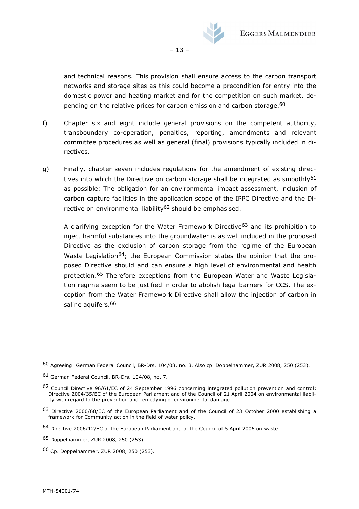

– 13 –

and technical reasons. This provision shall ensure access to the carbon transport networks and storage sites as this could become a precondition for entry into the domestic power and heating market and for the competition on such market, depending on the relative prices for carbon emission and carbon storage.<sup>60</sup>

- f) Chapter six and eight include general provisions on the competent authority, transboundary co-operation, penalties, reporting, amendments and relevant committee procedures as well as general (final) provisions typically included in directives.
- g) Finally, chapter seven includes regulations for the amendment of existing directives into which the Directive on carbon storage shall be integrated as smoothly<sup>61</sup> as possible: The obligation for an environmental impact assessment, inclusion of carbon capture facilities in the application scope of the IPPC Directive and the Directive on environmental liability<sup>62</sup> should be emphasised.

A clarifying exception for the Water Framework Directive63 and its prohibition to inject harmful substances into the groundwater is as well included in the proposed Directive as the exclusion of carbon storage from the regime of the European Waste Legislation<sup>64</sup>; the European Commission states the opinion that the proposed Directive should and can ensure a high level of environmental and health protection.65 Therefore exceptions from the European Water and Waste Legislation regime seem to be justified in order to abolish legal barriers for CCS. The exception from the Water Framework Directive shall allow the injection of carbon in saline aquifers.<sup>66</sup>

<sup>60</sup> Agreeing: German Federal Council, BR-Drs. 104/08, no. 3. Also cp. Doppelhammer, ZUR 2008, 250 (253).

<sup>61</sup> German Federal Council, BR-Drs. 104/08, no. 7.

<sup>62</sup> Council Directive 96/61/EC of 24 September 1996 concerning integrated pollution prevention and control; Directive 2004/35/EC of the European Parliament and of the Council of 21 April 2004 on environmental liability with regard to the prevention and remedying of environmental damage.

<sup>63</sup> Directive 2000/60/EC of the European Parliament and of the Council of 23 October 2000 establishing a framework for Community action in the field of water policy.

<sup>64</sup> Directive 2006/12/EC of the European Parliament and of the Council of 5 April 2006 on waste.

<sup>65</sup> Doppelhammer, ZUR 2008, 250 (253).

<sup>66</sup> Cp. Doppelhammer, ZUR 2008, 250 (253).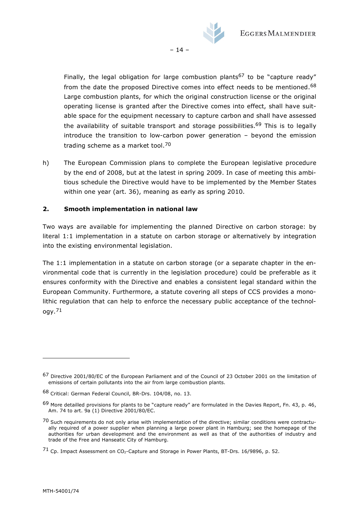

Finally, the legal obligation for large combustion plants<sup>67</sup> to be "capture ready" from the date the proposed Directive comes into effect needs to be mentioned.<sup>68</sup> Large combustion plants, for which the original construction license or the original operating license is granted after the Directive comes into effect, shall have suitable space for the equipment necessary to capture carbon and shall have assessed the availability of suitable transport and storage possibilities.<sup>69</sup> This is to legally introduce the transition to low-carbon power generation – beyond the emission trading scheme as a market tool.<sup>70</sup>

– 14 –

h) The European Commission plans to complete the European legislative procedure by the end of 2008, but at the latest in spring 2009. In case of meeting this ambitious schedule the Directive would have to be implemented by the Member States within one year (art. 36), meaning as early as spring 2010.

#### **2. Smooth implementation in national law**

Two ways are available for implementing the planned Directive on carbon storage: by literal 1:1 implementation in a statute on carbon storage or alternatively by integration into the existing environmental legislation.

The 1:1 implementation in a statute on carbon storage (or a separate chapter in the environmental code that is currently in the legislation procedure) could be preferable as it ensures conformity with the Directive and enables a consistent legal standard within the European Community. Furthermore, a statute covering all steps of CCS provides a monolithic regulation that can help to enforce the necessary public acceptance of the technology.<sup>71</sup>

<sup>67</sup> Directive 2001/80/EC of the European Parliament and of the Council of 23 October 2001 on the limitation of emissions of certain pollutants into the air from large combustion plants.

<sup>68</sup> Critical: German Federal Council, BR-Drs. 104/08, no. 13.

 $69$  More detailled provisions for plants to be "capture ready" are formulated in the Davies Report, Fn. 43, p. 46, Am. 74 to art. 9a (1) Directive 2001/80/EC.

<sup>&</sup>lt;sup>70</sup> Such requirements do not only arise with implementation of the directive; similar conditions were contractually required of a power supplier when planning a large power plant in Hamburg; see the homepage of the authorities for urban development and the environment as well as that of the authorities of industry and trade of the Free and Hanseatic City of Hamburg.

 $71$  Cp. Impact Assessment on CO<sub>2</sub>-Capture and Storage in Power Plants, BT-Drs. 16/9896, p. 52.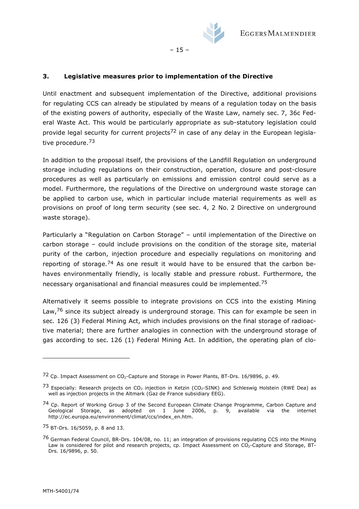

 $-15 -$ 

#### **3. Legislative measures prior to implementation of the Directive**

Until enactment and subsequent implementation of the Directive, additional provisions for regulating CCS can already be stipulated by means of a regulation today on the basis of the existing powers of authority, especially of the Waste Law, namely sec. 7, 36c Federal Waste Act. This would be particularly appropriate as sub-statutory legislation could provide legal security for current projects<sup>72</sup> in case of any delay in the European legislative procedure.<sup>73</sup>

In addition to the proposal itself, the provisions of the Landfill Regulation on underground storage including regulations on their construction, operation, closure and post-closure procedures as well as particularly on emissions and emission control could serve as a model. Furthermore, the regulations of the Directive on underground waste storage can be applied to carbon use, which in particular include material requirements as well as provisions on proof of long term security (see sec. 4, 2 No. 2 Directive on underground waste storage).

Particularly a "Regulation on Carbon Storage" – until implementation of the Directive on carbon storage – could include provisions on the condition of the storage site, material purity of the carbon, injection procedure and especially regulations on monitoring and reporting of storage.<sup>74</sup> As one result it would have to be ensured that the carbon behaves environmentally friendly, is locally stable and pressure robust. Furthermore, the necessary organisational and financial measures could be implemented.<sup>75</sup>

Alternatively it seems possible to integrate provisions on CCS into the existing Mining Law, $76$  since its subject already is underground storage. This can for example be seen in sec. 126 (3) Federal Mining Act, which includes provisions on the final storage of radioactive material; there are further analogies in connection with the underground storage of gas according to sec. 126 (1) Federal Mining Act. In addition, the operating plan of clo-

 $72$  Cp. Impact Assessment on CO<sub>2</sub>-Capture and Storage in Power Plants, BT-Drs. 16/9896, p. 49.

<sup>&</sup>lt;sup>73</sup> Especially: Research projects on CO<sub>2</sub> injection in Ketzin (CO<sub>2</sub>-SINK) and Schleswig Holstein (RWE Dea) as well as injection projects in the Altmark (Gaz de France subsidiary EEG).

<sup>&</sup>lt;sup>74</sup> Cp. Report of Working Group 3 of the Second European Climate Change Programme, Carbon Capture and Geological Storage, as adopted on 1 June 2006, p. 9, available via the internet http://ec.europa.eu/environment/climat/ccs/index\_en.htm.

<sup>75</sup> BT-Drs. 16/5059, p. 8 and 13.

<sup>76</sup> German Federal Council, BR-Drs. 104/08, no. 11; an integration of provisions regulating CCS into the Mining Law is considered for pilot and research projects, cp. Impact Assessment on CO<sub>2</sub>-Capture and Storage, BT-Drs. 16/9896, p. 50.